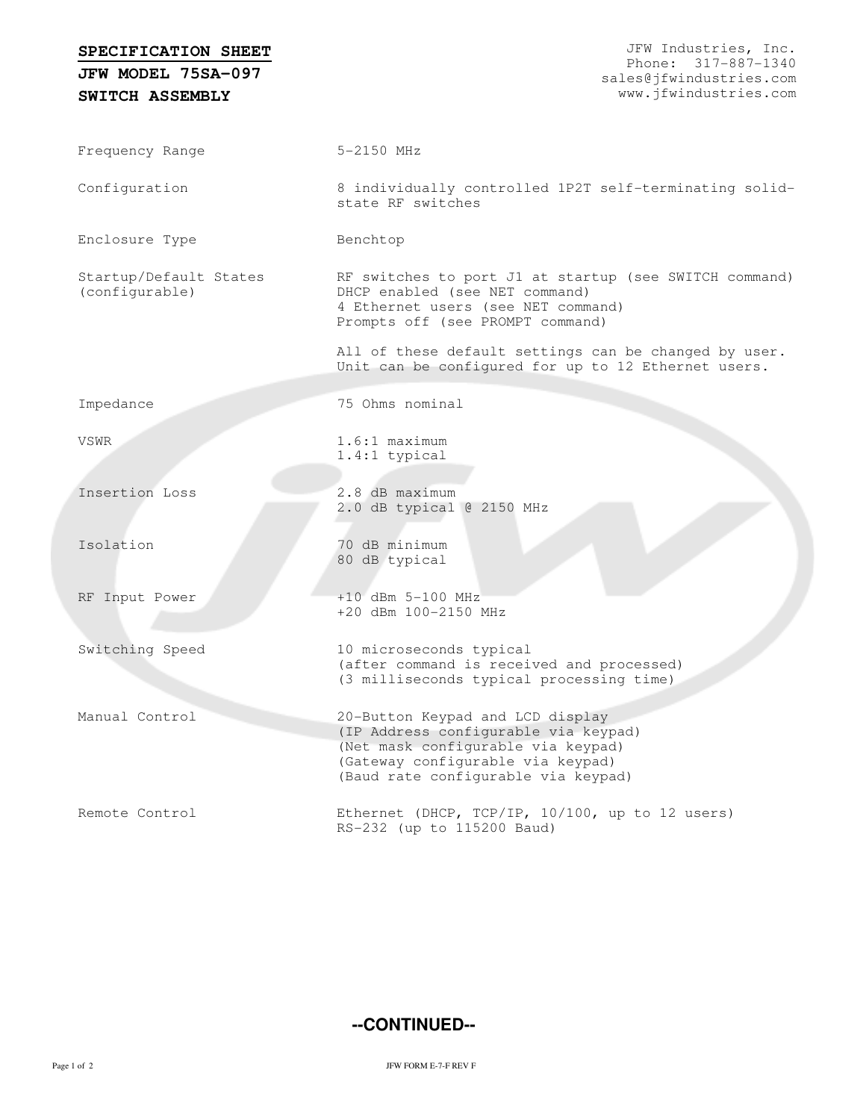| SPECIFICATION SHEET                      | JFW Industries, Inc.<br>Phone: 317-887-1340                                                                                                                                                |
|------------------------------------------|--------------------------------------------------------------------------------------------------------------------------------------------------------------------------------------------|
| JFW MODEL 75SA-097<br>SWITCH ASSEMBLY    | sales@jfwindustries.com<br>www.jfwindustries.com                                                                                                                                           |
|                                          |                                                                                                                                                                                            |
| Frequency Range                          | 5-2150 MHz                                                                                                                                                                                 |
| Configuration                            | 8 individually controlled 1P2T self-terminating solid-<br>state RF switches                                                                                                                |
| Enclosure Type                           | Benchtop                                                                                                                                                                                   |
| Startup/Default States<br>(configurable) | RF switches to port J1 at startup (see SWITCH command)<br>DHCP enabled (see NET command)<br>4 Ethernet users (see NET command)<br>Prompts off (see PROMPT command)                         |
|                                          | All of these default settings can be changed by user.<br>Unit can be configured for up to 12 Ethernet users.                                                                               |
| Impedance                                | 75 Ohms nominal                                                                                                                                                                            |
| VSWR                                     | $1.6:1$ maximum<br>1.4:1 typical                                                                                                                                                           |
| Insertion Loss                           | 2.8 dB maximum<br>2.0 dB typical @ 2150 MHz                                                                                                                                                |
| Isolation                                | 70 dB minimum<br>80 dB typical                                                                                                                                                             |
| RF Input Power                           | $+10$ dBm $5-100$ MHz<br>+20 dBm 100-2150 MHz                                                                                                                                              |
| Switching Speed                          | 10 microseconds typical<br>(after command is received and processed)<br>(3 milliseconds typical processing time)                                                                           |
| Manual Control                           | 20-Button Keypad and LCD display<br>(IP Address configurable via keypad)<br>(Net mask configurable via keypad)<br>(Gateway configurable via keypad)<br>(Baud rate configurable via keypad) |
| Remote Control                           | Ethernet (DHCP, TCP/IP, 10/100, up to 12 users)<br>RS-232 (up to 115200 Baud)                                                                                                              |

## **--CONTINUED--**